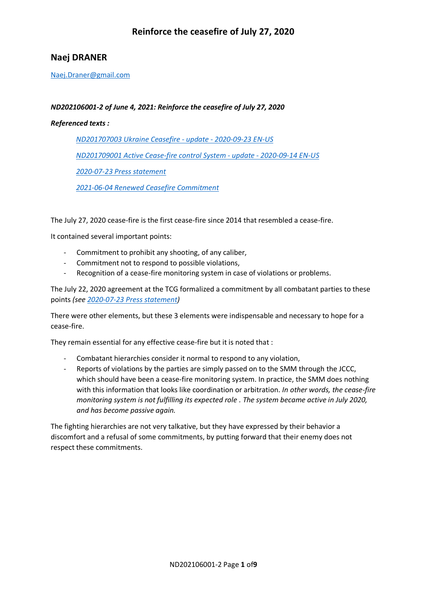# **Naej DRANER**

[Naej.Draner@gmail.com](mailto:Naej.Draner@gmail.com)

### *ND202106001-2 of June 4, 2021: Reinforce the ceasefire of July 27, 2020*

#### *Referenced texts :*

*[ND201707003 Ukraine Ceasefire -](https://horlogedelinconscient.fr/wp-content/uploads/2020/10/ND201707003-Ukraine-Ceasefire-update-2020-09-23-EN-US.pdf) update - 2020-09-23 EN-US [ND201709001 Active Cease-fire control System -](https://horlogedelinconscient.fr/wp-content/uploads/2020/10/ND201709001-Active-Cease-fire-control-System-update-2020-09-14-EN-US.pdf) update - 2020-09-14 EN-US [2020-07-23 Press statement](https://horlogedelinconscient.fr/wp-content/uploads/2020/10/2020-07-23-Press-statement.pdf) [2021-06-04 Renewed Ceasefire Commitment](https://horlogedelinconscient.fr/wp-content/uploads/2021/06/2021-06-04-Renewed-Ceasefire-Commitment-A.pdf)*

The July 27, 2020 cease-fire is the first cease-fire since 2014 that resembled a cease-fire.

It contained several important points:

- Commitment to prohibit any shooting, of any caliber,
- Commitment not to respond to possible violations,
- Recognition of a cease-fire monitoring system in case of violations or problems.

The July 22, 2020 agreement at the TCG formalized a commitment by all combatant parties to these points *(see [2020-07-23 Press statement\)](https://horlogedelinconscient.fr/wp-content/uploads/2020/10/2020-07-23-Press-statement.pdf)*

There were other elements, but these 3 elements were indispensable and necessary to hope for a cease-fire.

They remain essential for any effective cease-fire but it is noted that :

- Combatant hierarchies consider it normal to respond to any violation,
- Reports of violations by the parties are simply passed on to the SMM through the JCCC, which should have been a cease-fire monitoring system. In practice, the SMM does nothing with this information that looks like coordination or arbitration. *In other words, the cease-fire monitoring system is not fulfilling its expected role . The system became active in July 2020, and has become passive again.*

The fighting hierarchies are not very talkative, but they have expressed by their behavior a discomfort and a refusal of some commitments, by putting forward that their enemy does not respect these commitments.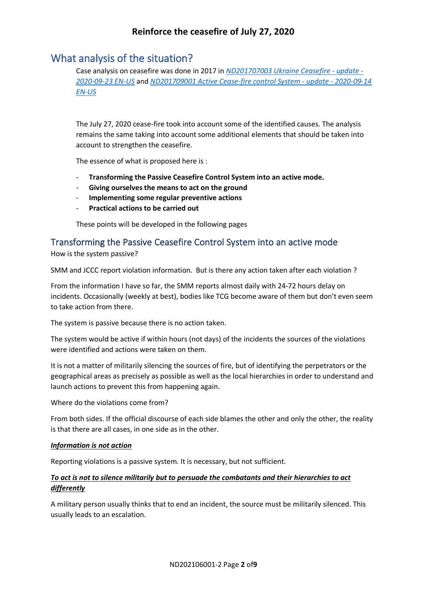# What analysis of the situation?

Case analysis on ceasefire was done in 2017 in *[ND201707003 Ukraine Ceasefire -](https://horlogedelinconscient.fr/wp-content/uploads/2020/10/ND201707003-Ukraine-Ceasefire-update-2020-09-23-EN-US.pdf) update - [2020-09-23 EN-US](https://horlogedelinconscient.fr/wp-content/uploads/2020/10/ND201707003-Ukraine-Ceasefire-update-2020-09-23-EN-US.pdf)* and *[ND201709001 Active Cease-fire control System -](https://horlogedelinconscient.fr/wp-content/uploads/2020/10/ND201709001-Active-Cease-fire-control-System-update-2020-09-14-EN-US.pdf) update - 2020-09-14 [EN-US](https://horlogedelinconscient.fr/wp-content/uploads/2020/10/ND201709001-Active-Cease-fire-control-System-update-2020-09-14-EN-US.pdf)*

The July 27, 2020 cease-fire took into account some of the identified causes. The analysis remains the same taking into account some additional elements that should be taken into account to strengthen the ceasefire.

The essence of what is proposed here is :

- **Transforming the Passive Ceasefire Control System into an active mode.**
- **Giving ourselves the means to act on the ground**
- **Implementing some regular preventive actions**
- **Practical actions to be carried out**

These points will be developed in the following pages

## Transforming the Passive Ceasefire Control System into an active mode

How is the system passive?

SMM and JCCC report violation information. But is there any action taken after each violation ?

From the information I have so far, the SMM reports almost daily with 24-72 hours delay on incidents. Occasionally (weekly at best), bodies like TCG become aware of them but don't even seem to take action from there.

The system is passive because there is no action taken.

The system would be active if within hours (not days) of the incidents the sources of the violations were identified and actions were taken on them.

It is not a matter of militarily silencing the sources of fire, but of identifying the perpetrators or the geographical areas as precisely as possible as well as the local hierarchies in order to understand and launch actions to prevent this from happening again.

Where do the violations come from?

From both sides. If the official discourse of each side blames the other and only the other, the reality is that there are all cases, in one side as in the other.

#### *Information is not action*

Reporting violations is a passive system. It is necessary, but not sufficient.

### *To act is not to silence militarily but to persuade the combatants and their hierarchies to act differently*

A military person usually thinks that to end an incident, the source must be militarily silenced. This usually leads to an escalation.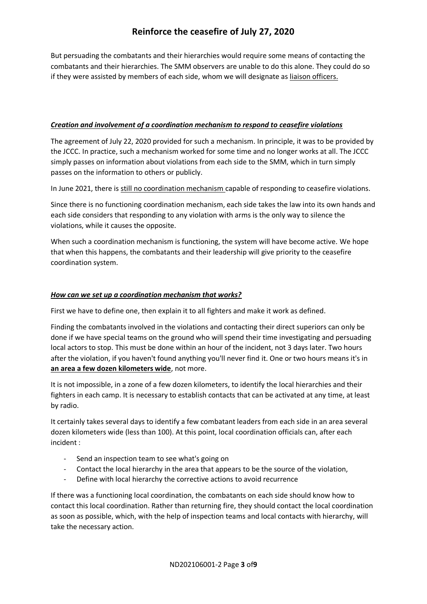But persuading the combatants and their hierarchies would require some means of contacting the combatants and their hierarchies. The SMM observers are unable to do this alone. They could do so if they were assisted by members of each side, whom we will designate as liaison officers.

### *Creation and involvement of a coordination mechanism to respond to ceasefire violations*

The agreement of July 22, 2020 provided for such a mechanism. In principle, it was to be provided by the JCCC. In practice, such a mechanism worked for some time and no longer works at all. The JCCC simply passes on information about violations from each side to the SMM, which in turn simply passes on the information to others or publicly.

In June 2021, there is still no coordination mechanism capable of responding to ceasefire violations.

Since there is no functioning coordination mechanism, each side takes the law into its own hands and each side considers that responding to any violation with arms is the only way to silence the violations, while it causes the opposite.

When such a coordination mechanism is functioning, the system will have become active. We hope that when this happens, the combatants and their leadership will give priority to the ceasefire coordination system.

## *How can we set up a coordination mechanism that works?*

First we have to define one, then explain it to all fighters and make it work as defined.

Finding the combatants involved in the violations and contacting their direct superiors can only be done if we have special teams on the ground who will spend their time investigating and persuading local actors to stop. This must be done within an hour of the incident, not 3 days later. Two hours after the violation, if you haven't found anything you'll never find it. One or two hours means it's in **an area a few dozen kilometers wide**, not more.

It is not impossible, in a zone of a few dozen kilometers, to identify the local hierarchies and their fighters in each camp. It is necessary to establish contacts that can be activated at any time, at least by radio.

It certainly takes several days to identify a few combatant leaders from each side in an area several dozen kilometers wide (less than 100). At this point, local coordination officials can, after each incident :

- Send an inspection team to see what's going on
- Contact the local hierarchy in the area that appears to be the source of the violation,
- Define with local hierarchy the corrective actions to avoid recurrence

If there was a functioning local coordination, the combatants on each side should know how to contact this local coordination. Rather than returning fire, they should contact the local coordination as soon as possible, which, with the help of inspection teams and local contacts with hierarchy, will take the necessary action.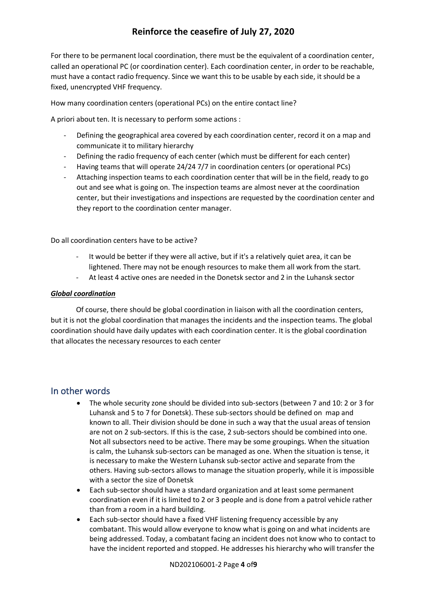For there to be permanent local coordination, there must be the equivalent of a coordination center, called an operational PC (or coordination center). Each coordination center, in order to be reachable, must have a contact radio frequency. Since we want this to be usable by each side, it should be a fixed, unencrypted VHF frequency.

How many coordination centers (operational PCs) on the entire contact line?

A priori about ten. It is necessary to perform some actions :

- Defining the geographical area covered by each coordination center, record it on a map and communicate it to military hierarchy
- Defining the radio frequency of each center (which must be different for each center)
- Having teams that will operate 24/24 7/7 in coordination centers (or operational PCs)
- Attaching inspection teams to each coordination center that will be in the field, ready to go out and see what is going on. The inspection teams are almost never at the coordination center, but their investigations and inspections are requested by the coordination center and they report to the coordination center manager.

Do all coordination centers have to be active?

- It would be better if they were all active, but if it's a relatively quiet area, it can be lightened. There may not be enough resources to make them all work from the start.
- At least 4 active ones are needed in the Donetsk sector and 2 in the Luhansk sector

#### *Global coordination*

Of course, there should be global coordination in liaison with all the coordination centers, but it is not the global coordination that manages the incidents and the inspection teams. The global coordination should have daily updates with each coordination center. It is the global coordination that allocates the necessary resources to each center

## In other words

- The whole security zone should be divided into sub-sectors (between 7 and 10: 2 or 3 for Luhansk and 5 to 7 for Donetsk). These sub-sectors should be defined on map and known to all. Their division should be done in such a way that the usual areas of tension are not on 2 sub-sectors. If this is the case, 2 sub-sectors should be combined into one. Not all subsectors need to be active. There may be some groupings. When the situation is calm, the Luhansk sub-sectors can be managed as one. When the situation is tense, it is necessary to make the Western Luhansk sub-sector active and separate from the others. Having sub-sectors allows to manage the situation properly, while it is impossible with a sector the size of Donetsk
- Each sub-sector should have a standard organization and at least some permanent coordination even if it is limited to 2 or 3 people and is done from a patrol vehicle rather than from a room in a hard building.
- Each sub-sector should have a fixed VHF listening frequency accessible by any combatant. This would allow everyone to know what is going on and what incidents are being addressed. Today, a combatant facing an incident does not know who to contact to have the incident reported and stopped. He addresses his hierarchy who will transfer the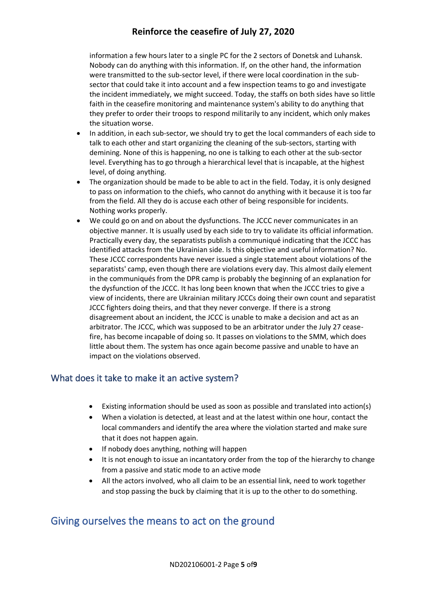information a few hours later to a single PC for the 2 sectors of Donetsk and Luhansk. Nobody can do anything with this information. If, on the other hand, the information were transmitted to the sub-sector level, if there were local coordination in the subsector that could take it into account and a few inspection teams to go and investigate the incident immediately, we might succeed. Today, the staffs on both sides have so little faith in the ceasefire monitoring and maintenance system's ability to do anything that they prefer to order their troops to respond militarily to any incident, which only makes the situation worse.

- In addition, in each sub-sector, we should try to get the local commanders of each side to talk to each other and start organizing the cleaning of the sub-sectors, starting with demining. None of this is happening, no one is talking to each other at the sub-sector level. Everything has to go through a hierarchical level that is incapable, at the highest level, of doing anything.
- The organization should be made to be able to act in the field. Today, it is only designed to pass on information to the chiefs, who cannot do anything with it because it is too far from the field. All they do is accuse each other of being responsible for incidents. Nothing works properly.
- We could go on and on about the dysfunctions. The JCCC never communicates in an objective manner. It is usually used by each side to try to validate its official information. Practically every day, the separatists publish a communiqué indicating that the JCCC has identified attacks from the Ukrainian side. Is this objective and useful information? No. These JCCC correspondents have never issued a single statement about violations of the separatists' camp, even though there are violations every day. This almost daily element in the communiqués from the DPR camp is probably the beginning of an explanation for the dysfunction of the JCCC. It has long been known that when the JCCC tries to give a view of incidents, there are Ukrainian military JCCCs doing their own count and separatist JCCC fighters doing theirs, and that they never converge. If there is a strong disagreement about an incident, the JCCC is unable to make a decision and act as an arbitrator. The JCCC, which was supposed to be an arbitrator under the July 27 ceasefire, has become incapable of doing so. It passes on violations to the SMM, which does little about them. The system has once again become passive and unable to have an impact on the violations observed.

## What does it take to make it an active system?

- Existing information should be used as soon as possible and translated into action(s)
- When a violation is detected, at least and at the latest within one hour, contact the local commanders and identify the area where the violation started and make sure that it does not happen again.
- If nobody does anything, nothing will happen
- It is not enough to issue an incantatory order from the top of the hierarchy to change from a passive and static mode to an active mode
- All the actors involved, who all claim to be an essential link, need to work together and stop passing the buck by claiming that it is up to the other to do something.

# Giving ourselves the means to act on the ground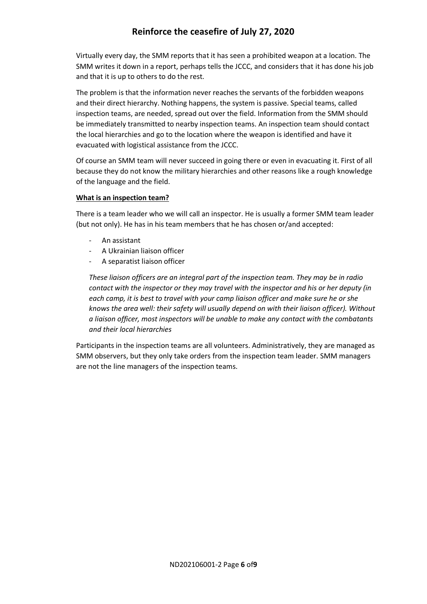Virtually every day, the SMM reports that it has seen a prohibited weapon at a location. The SMM writes it down in a report, perhaps tells the JCCC, and considers that it has done his job and that it is up to others to do the rest.

The problem is that the information never reaches the servants of the forbidden weapons and their direct hierarchy. Nothing happens, the system is passive. Special teams, called inspection teams, are needed, spread out over the field. Information from the SMM should be immediately transmitted to nearby inspection teams. An inspection team should contact the local hierarchies and go to the location where the weapon is identified and have it evacuated with logistical assistance from the JCCC.

Of course an SMM team will never succeed in going there or even in evacuating it. First of all because they do not know the military hierarchies and other reasons like a rough knowledge of the language and the field.

### **What is an inspection team?**

There is a team leader who we will call an inspector. He is usually a former SMM team leader (but not only). He has in his team members that he has chosen or/and accepted:

- An assistant
- A Ukrainian liaison officer
- A separatist liaison officer

*These liaison officers are an integral part of the inspection team. They may be in radio contact with the inspector or they may travel with the inspector and his or her deputy (in each camp, it is best to travel with your camp liaison officer and make sure he or she knows the area well: their safety will usually depend on with their liaison officer). Without a liaison officer, most inspectors will be unable to make any contact with the combatants and their local hierarchies*

Participants in the inspection teams are all volunteers. Administratively, they are managed as SMM observers, but they only take orders from the inspection team leader. SMM managers are not the line managers of the inspection teams.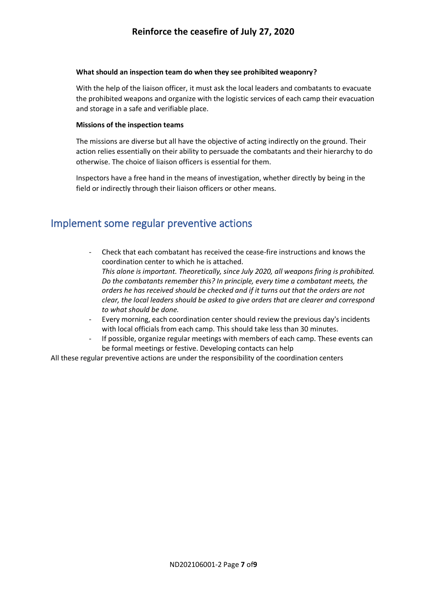#### **What should an inspection team do when they see prohibited weaponry?**

With the help of the liaison officer, it must ask the local leaders and combatants to evacuate the prohibited weapons and organize with the logistic services of each camp their evacuation and storage in a safe and verifiable place.

#### **Missions of the inspection teams**

The missions are diverse but all have the objective of acting indirectly on the ground. Their action relies essentially on their ability to persuade the combatants and their hierarchy to do otherwise. The choice of liaison officers is essential for them.

Inspectors have a free hand in the means of investigation, whether directly by being in the field or indirectly through their liaison officers or other means.

# Implement some regular preventive actions

- Check that each combatant has received the cease-fire instructions and knows the coordination center to which he is attached. *This alone is important. Theoretically, since July 2020, all weapons firing is prohibited. Do the combatants remember this? In principle, every time a combatant meets, the orders he has received should be checked and if it turns out that the orders are not clear, the local leaders should be asked to give orders that are clearer and correspond to what should be done.*
- Every morning, each coordination center should review the previous day's incidents with local officials from each camp. This should take less than 30 minutes.
- If possible, organize regular meetings with members of each camp. These events can be formal meetings or festive. Developing contacts can help

All these regular preventive actions are under the responsibility of the coordination centers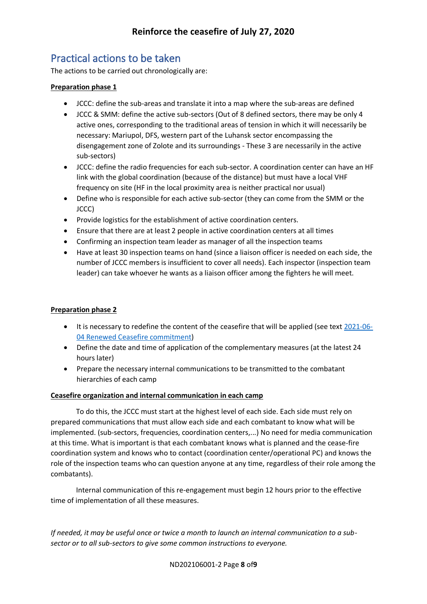# Practical actions to be taken

The actions to be carried out chronologically are:

## **Preparation phase 1**

- JCCC: define the sub-areas and translate it into a map where the sub-areas are defined
- JCCC & SMM: define the active sub-sectors (Out of 8 defined sectors, there may be only 4 active ones, corresponding to the traditional areas of tension in which it will necessarily be necessary: Mariupol, DFS, western part of the Luhansk sector encompassing the disengagement zone of Zolote and its surroundings - These 3 are necessarily in the active sub-sectors)
- JCCC: define the radio frequencies for each sub-sector. A coordination center can have an HF link with the global coordination (because of the distance) but must have a local VHF frequency on site (HF in the local proximity area is neither practical nor usual)
- Define who is responsible for each active sub-sector (they can come from the SMM or the JCCC)
- Provide logistics for the establishment of active coordination centers.
- Ensure that there are at least 2 people in active coordination centers at all times
- Confirming an inspection team leader as manager of all the inspection teams
- Have at least 30 inspection teams on hand (since a liaison officer is needed on each side, the number of JCCC members is insufficient to cover all needs). Each inspector (inspection team leader) can take whoever he wants as a liaison officer among the fighters he will meet.

### **Preparation phase 2**

- It is necessary to redefine the content of the ceasefire that will be applied (see text [2021-06-](https://horlogedelinconscient.fr/wp-content/uploads/2021/06/2021-06-04-Renewed-Ceasefire-Commitment.pdf) [04 Renewed Ceasefire commitment\)](https://horlogedelinconscient.fr/wp-content/uploads/2021/06/2021-06-04-Renewed-Ceasefire-Commitment.pdf)
- Define the date and time of application of the complementary measures (at the latest 24 hours later)
- Prepare the necessary internal communications to be transmitted to the combatant hierarchies of each camp

### **Ceasefire organization and internal communication in each camp**

To do this, the JCCC must start at the highest level of each side. Each side must rely on prepared communications that must allow each side and each combatant to know what will be implemented. (sub-sectors, frequencies, coordination centers,...) No need for media communication at this time. What is important is that each combatant knows what is planned and the cease-fire coordination system and knows who to contact (coordination center/operational PC) and knows the role of the inspection teams who can question anyone at any time, regardless of their role among the combatants).

Internal communication of this re-engagement must begin 12 hours prior to the effective time of implementation of all these measures.

*If needed, it may be useful once or twice a month to launch an internal communication to a subsector or to all sub-sectors to give some common instructions to everyone.*

ND202106001-2 Page **8** of**9**